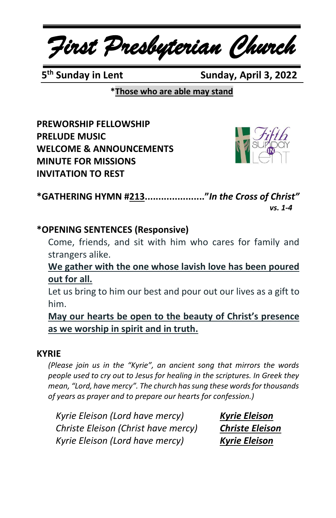*First Presbyterian Church*

5<sup>th</sup> Sunday in Lent

**Sunday, April 3, 2022** 

**\*Those who are able may stand**

**PREWORSHIP FELLOWSHIP PRELUDE MUSIC WELCOME & ANNOUNCEMENTS MINUTE FOR MISSIONS INVITATION TO REST**



**\*GATHERING HYMN #213......................"***In the Cross of Christ" vs. 1-4*

## **\*OPENING SENTENCES (Responsive)**

Come, friends, and sit with him who cares for family and strangers alike.

**We gather with the one whose lavish love has been poured out for all.**

Let us bring to him our best and pour out our lives as a gift to him.

**May our hearts be open to the beauty of Christ's presence as we worship in spirit and in truth.**

#### **KYRIE**

*(Please join us in the "Kyrie", an ancient song that mirrors the words people used to cry out to Jesus for healing in the scriptures. In Greek they mean, "Lord, have mercy". The church has sung these words for thousands of years as prayer and to prepare our hearts for confession.)*

*Kyrie Eleison (Lord have mercy) Kyrie Eleison Christe Eleison (Christ have mercy) Christe Eleison Kyrie Eleison (Lord have mercy) Kyrie Eleison*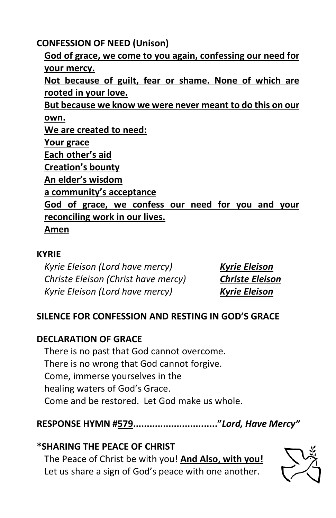**CONFESSION OF NEED (Unison)**

**God of grace, we come to you again, confessing our need for your mercy. Not because of guilt, fear or shame. None of which are rooted in your love. But because we know we were never meant to do this on our own. We are created to need: Your grace Each other's aid Creation's bounty An elder's wisdom a community's acceptance God of grace, we confess our need for you and your reconciling work in our lives. Amen**

### **KYRIE**

*Kyrie Eleison (Lord have mercy) Kyrie Eleison Christe Eleison (Christ have mercy) Christe Eleison Kyrie Eleison (Lord have mercy) Kyrie Eleison*

# **SILENCE FOR CONFESSION AND RESTING IN GOD'S GRACE**

# **DECLARATION OF GRACE**

There is no past that God cannot overcome. There is no wrong that God cannot forgive. Come, immerse yourselves in the healing waters of God's Grace. Come and be restored. Let God make us whole.

**RESPONSE HYMN #579..............................."***Lord, Have Mercy"*

## **\*SHARING THE PEACE OF CHRIST**

The Peace of Christ be with you! **And Also, with you!** Let us share a sign of God's peace with one another.

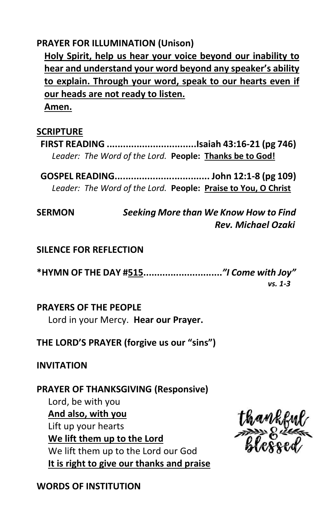#### **PRAYER FOR ILLUMINATION (Unison)**

**Holy Spirit, help us hear your voice beyond our inability to hear and understand your word beyond any speaker's ability to explain. Through your word, speak to our hearts even if our heads are not ready to listen.**

**Amen.**

#### **SCRIPTURE**

**FIRST READING .................................Isaiah 43:16-21 (pg 746)** *Leader: The Word of the Lord.* **People: Thanks be to God!**

**GOSPEL READING................................... John 12:1-8 (pg 109)** *Leader: The Word of the Lord.* **People: Praise to You, O Christ**

**SERMON** *Seeking More than We Know How to Find Rev. Michael Ozaki*

#### **SILENCE FOR REFLECTION**

**\*HYMN OF THE DAY #515.............................***"I Come with Joy" vs. 1-3*

#### **PRAYERS OF THE PEOPLE**

Lord in your Mercy. **Hear our Prayer.**

**THE LORD'S PRAYER (forgive us our "sins")**

**INVITATION**

#### **PRAYER OF THANKSGIVING (Responsive)**

Lord, be with you **And also, with you** Lift up your hearts **We lift them up to the Lord** We lift them up to the Lord our God **It is right to give our thanks and praise**

Urankfu

**WORDS OF INSTITUTION**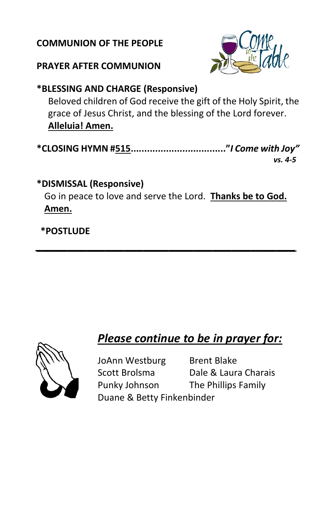#### **COMMUNION OF THE PEOPLE**

# **PRAYER AFTER COMMUNION**



# **\*BLESSING AND CHARGE (Responsive)**

Beloved children of God receive the gift of the Holy Spirit, the grace of Jesus Christ, and the blessing of the Lord forever. **Alleluia! Amen.**

| vs. 4-5 |
|---------|

# **\*DISMISSAL (Responsive)**

Go in peace to love and serve the Lord. **Thanks be to God. Amen.**

*\_\_\_\_\_\_\_\_\_\_\_\_\_\_\_\_\_\_\_\_\_\_\_\_\_\_\_\_\_\_\_\_\_\_\_\_\_\_\_\_\_*

# **\*POSTLUDE**

# *Please continue to be in prayer for:*



JoAnn Westburg Brent Blake Scott Brolsma Dale & Laura Charais Punky Johnson The Phillips Family Duane & Betty Finkenbinder